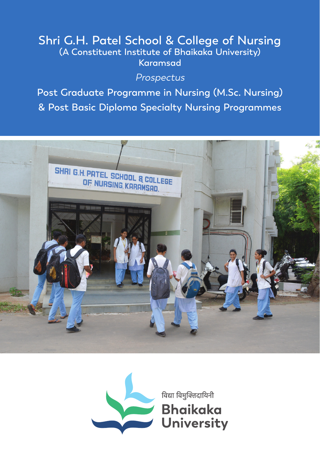## **Shri G.H. Patel School & College of Nursing (A Constituent Institute of Bhaikaka University) Karamsad**

### Prospectus

**Post Graduate Programme in Nursing (M.Sc. Nursing) & Post Basic Diploma Specialty Nursing Programmes**



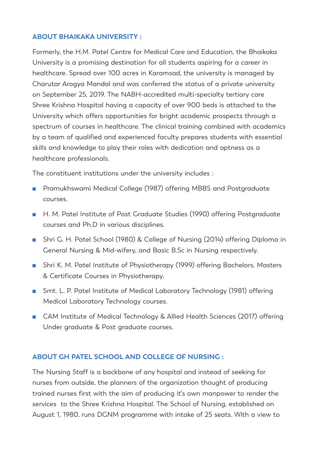#### **ABOUT BHAIKAKA UNIVERSITY :**

Formerly, the H.M. Patel Centre for Medical Care and Education, the Bhaikaka University is a promising destination for all students aspiring for a career in healthcare. Spread over 100 acres in Karamsad, the university is managed by Charutar Arogya Mandal and was conferred the status of a private university on September 25, 2019. The NABH-accredited multi-specialty tertiary care Shree Krishna Hospital having a capacity of over 900 beds is attached to the University which offers opportunities for bright academic prospects through a spectrum of courses in healthcare. The clinical training combined with academics by a team of qualified and experienced faculty prepares students with essential skills and knowledge to play their roles with dedication and aptness as a healthcare professionals.

The constituent institutions under the university includes :

- Pramukhswami Medical College (1987) offering MBBS and Postgraduate courses.
- H. M. Patel Institute of Post Graduate Studies (1990) offering Postgraduate courses and Ph.D in various disciplines.
- Shri G. H. Patel School (1980) & College of Nursing (2014) offering Diploma in General Nursing & Mid-wifery, and Basic B.Sc in Nursing respectively.
- Shri K. M. Patel Institute of Physiotherapy (1999) offering Bachelors, Masters & Certificate Courses in Physiotherapy.
- Smt. L. P. Patel Institute of Medical Laboratory Technology (1981) offering Medical Laboratory Technology courses.
- CAM Institute of Medical Technology & Allied Health Sciences (2017) offering Under graduate & Post graduate courses.

#### **ABOUT GH PATEL SCHOOL AND COLLEGE OF NURSING :**

The Nursing Staff is a backbone of any hospital and instead of seeking for nurses from outside, the planners of the organization thought of producing trained nurses first with the aim of producing it's own manpower to render the services to the Shree Krishna Hospital. The School of Nursing, established on August 1, 1980, runs DGNM programme with intake of 25 seats. With a view to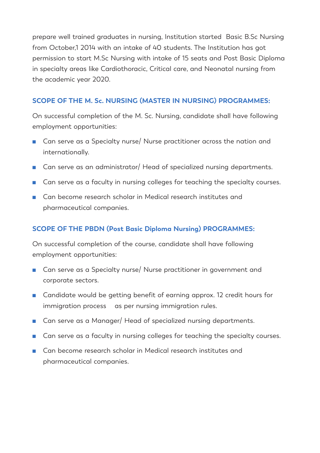prepare well trained graduates in nursing, Institution started Basic B.Sc Nursing from October,1 2014 with an intake of 40 students. The Institution has got permission to start M.Sc Nursing with intake of 15 seats and Post Basic Diploma in specialty areas like Cardiothoracic, Critical care, and Neonatal nursing from the academic year 2020.

#### **SCOPE OF THE M. Sc. NURSING (MASTER IN NURSING) PROGRAMMES:**

On successful completion of the M. Sc. Nursing, candidate shall have following employment opportunities:

- Can serve as a Specialty nurse/ Nurse practitioner across the nation and internationally.
- Can serve as an administrator/ Head of specialized nursing departments.
- Can serve as a faculty in nursing colleges for teaching the specialty courses.
- Can become research scholar in Medical research institutes and pharmaceutical companies.

#### **SCOPE OF THE PBDN (Post Basic Diploma Nursing) PROGRAMMES:**

On successful completion of the course, candidate shall have following employment opportunities:

- Can serve as a Specialty nurse/ Nurse practitioner in government and corporate sectors.
- Candidate would be getting benefit of earning approx. 12 credit hours for immigration process as per nursing immigration rules.
- Can serve as a Manager/ Head of specialized nursing departments.
- Can serve as a faculty in nursing colleges for teaching the specialty courses.
- Can become research scholar in Medical research institutes and pharmaceutical companies.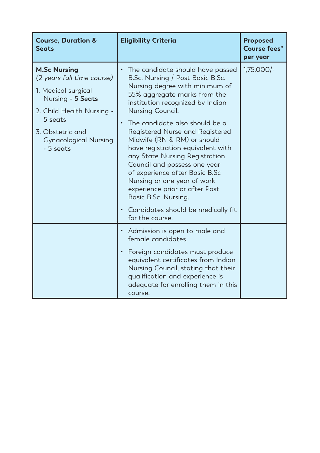| <b>Course, Duration &amp;</b><br><b>Seats</b>                                                                                                                                                          | <b>Eligibility Criteria</b>                                                                                                                                                                                                                                                                                                                                                                                                                                                                                                                                                                                               | <b>Proposed</b><br>Course fees*<br>per year |
|--------------------------------------------------------------------------------------------------------------------------------------------------------------------------------------------------------|---------------------------------------------------------------------------------------------------------------------------------------------------------------------------------------------------------------------------------------------------------------------------------------------------------------------------------------------------------------------------------------------------------------------------------------------------------------------------------------------------------------------------------------------------------------------------------------------------------------------------|---------------------------------------------|
| <b>M.Sc Nursing</b><br>(2 years full time course)<br>1. Medical surgical<br>Nursing - 5 Seats<br>2. Child Health Nursing -<br>5 seats<br>3. Obstetric and<br><b>Gynacological Nursing</b><br>- 5 seats | The candidate should have passed<br>$\bullet$<br>B.Sc. Nursing / Post Basic B.Sc.<br>Nursing degree with minimum of<br>55% aggregate marks from the<br>institution recognized by Indian<br>Nursing Council.<br>The candidate also should be a<br>$\bullet$<br>Registered Nurse and Registered<br>Midwife (RN & RM) or should<br>have registration equivalent with<br>any State Nursing Registration<br>Council and possess one year<br>of experience after Basic B.Sc<br>Nursing or one year of work<br>experience prior or after Post<br>Basic B.Sc. Nursing.<br>• Candidates should be medically fit<br>for the course. | $1,75,000/-$                                |
|                                                                                                                                                                                                        | • Admission is open to male and<br>female candidates.<br>Foreign candidates must produce<br>$\bullet$<br>equivalent certificates from Indian<br>Nursing Council, stating that their<br>qualification and experience is<br>adequate for enrolling them in this<br>course.                                                                                                                                                                                                                                                                                                                                                  |                                             |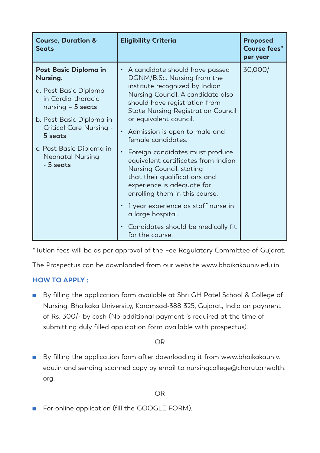| <b>Course, Duration &amp;</b><br><b>Seats</b>                                                                                                                                                                                         | <b>Eligibility Criteria</b>                                                                                                                                                                                                                                                                                                                                                                                                                                                                                                                                                                                                                  | <b>Proposed</b><br>Course fees*<br>per year |
|---------------------------------------------------------------------------------------------------------------------------------------------------------------------------------------------------------------------------------------|----------------------------------------------------------------------------------------------------------------------------------------------------------------------------------------------------------------------------------------------------------------------------------------------------------------------------------------------------------------------------------------------------------------------------------------------------------------------------------------------------------------------------------------------------------------------------------------------------------------------------------------------|---------------------------------------------|
| Post Basic Diploma in<br>Nursing.<br>a. Post Basic Diploma<br>in Cardio-thoracic<br>nursing $-5$ seats<br>b. Post Basic Diploma in<br>Critical Care Nursing -<br>5 seats<br>c. Post Basic Diploma in<br>Neonatal Nursing<br>- 5 seats | A candidate should have passed<br>DGNM/B.Sc. Nursing from the<br>institute recognized by Indian<br>Nursing Council. A candidate also<br>should have registration from<br><b>State Nursing Registration Council</b><br>or equivalent council.<br>Admission is open to male and<br>female candidates.<br>Foreign candidates must produce<br>$\bullet$<br>equivalent certificates from Indian<br>Nursing Council, stating<br>that their qualifications and<br>experience is adequate for<br>enrolling them in this course.<br>1 year experience as staff nurse in<br>a large hospital.<br>Candidates should be medically fit<br>for the course. | $30,000/-$                                  |

\*Tution fees will be as per approval of the Fee Regulatory Committee of Gujarat.

The Prospectus can be downloaded from our website www.bhaikakauniv.edu.in

#### **HOW TO APPLY :**

■ By filling the application form available at Shri GH Patel School & College of Nursing, Bhaikaka University, Karamsad-388 325, Gujarat, India on payment of Rs. 300/- by cash (No additional payment is required at the time of submitting duly filled application form available with prospectus).

OR

■ By filling the application form after downloading it from www.bhaikakauniv. edu.in and sending scanned copy by email to nursingcollege@charutarhealth. org.

OR

■ For online application (fill the GOOGLE FORM).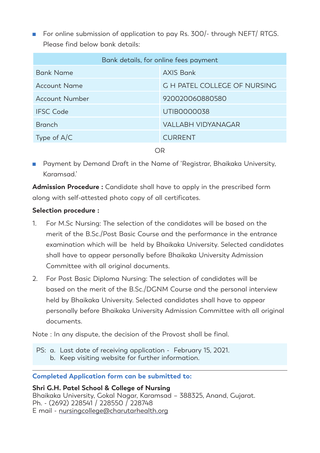■ For online submission of application to pay Rs. 300/- through NEFT/ RTGS. Please find below bank details:

| Bank details, for online fees payment |                                     |  |
|---------------------------------------|-------------------------------------|--|
| Bank Name                             | <b>AXIS Bank</b>                    |  |
| Account Name                          | <b>G H PATEL COLLEGE OF NURSING</b> |  |
| Account Number                        | 920020060880580                     |  |
| <b>IFSC Code</b>                      | UTIB0000038                         |  |
| <b>Branch</b>                         | VALLABH VIDYANAGAR                  |  |
| Type of $A/C$                         | <b>CURRENT</b>                      |  |
|                                       |                                     |  |

OR

■ Payment by Demand Draft in the Name of 'Registrar, Bhaikaka University, Karamsad.'

**Admission Procedure :** Candidate shall have to apply in the prescribed form along with self-attested photo copy of all certificates.

#### **Selection procedure :**

- 1. For M.Sc Nursing: The selection of the candidates will be based on the merit of the B.Sc./Post Basic Course and the performance in the entrance examination which will be held by Bhaikaka University. Selected candidates shall have to appear personally before Bhaikaka University Admission Committee with all original documents.
- 2. For Post Basic Diploma Nursing: The selection of candidates will be based on the merit of the B.Sc./DGNM Course and the personal interview held by Bhaikaka University. Selected candidates shall have to appear personally before Bhaikaka University Admission Committee with all original documents.

Note : In any dispute, the decision of the Provost shall be final.

PS: a. Last date of receiving application - February 15, 2021. b. Keep visiting website for further information.

#### **Completed Application form can be submitted to:**

**Shri G.H. Patel School & College of Nursing** Bhaikaka University, Gokal Nagar, Karamsad – 388325, Anand, Gujarat. Ph. - (2692) 228541 / 228550 / 228748 E mail - nursingcollege@charutarhealth.org